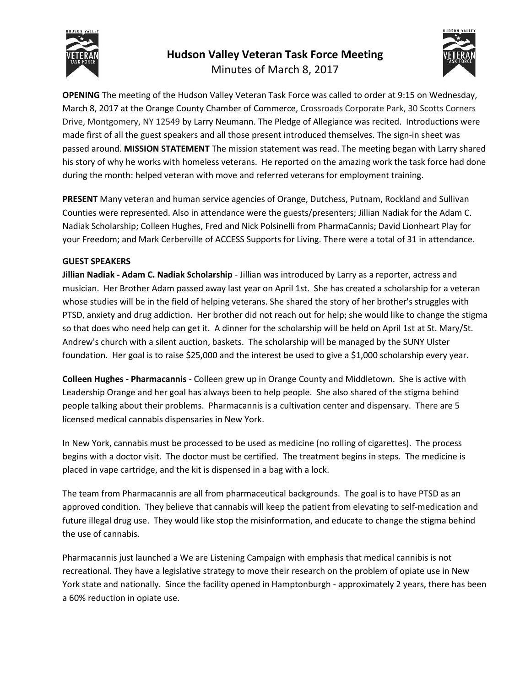

# **Hudson Valley Veteran Task Force Meeting**  Minutes of March 8, 2017



**OPENING** The meeting of the Hudson Valley Veteran Task Force was called to order at 9:15 on Wednesday, March 8, 2017 at the Orange County Chamber of Commerce, Crossroads Corporate Park, 30 Scotts Corners Drive, Montgomery, NY 12549 by Larry Neumann. The Pledge of Allegiance was recited. Introductions were made first of all the guest speakers and all those present introduced themselves. The sign-in sheet was passed around. **MISSION STATEMENT** The mission statement was read. The meeting began with Larry shared his story of why he works with homeless veterans. He reported on the amazing work the task force had done during the month: helped veteran with move and referred veterans for employment training.

**PRESENT** Many veteran and human service agencies of Orange, Dutchess, Putnam, Rockland and Sullivan Counties were represented. Also in attendance were the guests/presenters; Jillian Nadiak for the Adam C. Nadiak Scholarship; Colleen Hughes, Fred and Nick Polsinelli from PharmaCannis; David Lionheart Play for your Freedom; and Mark Cerberville of ACCESS Supports for Living. There were a total of 31 in attendance.

## **GUEST SPEAKERS**

**Jillian Nadiak - Adam C. Nadiak Scholarship** - Jillian was introduced by Larry as a reporter, actress and musician. Her Brother Adam passed away last year on April 1st. She has created a scholarship for a veteran whose studies will be in the field of helping veterans. She shared the story of her brother's struggles with PTSD, anxiety and drug addiction. Her brother did not reach out for help; she would like to change the stigma so that does who need help can get it. A dinner for the scholarship will be held on April 1st at St. Mary/St. Andrew's church with a silent auction, baskets. The scholarship will be managed by the SUNY Ulster foundation. Her goal is to raise \$25,000 and the interest be used to give a \$1,000 scholarship every year.

**Colleen Hughes - Pharmacannis** - Colleen grew up in Orange County and Middletown. She is active with Leadership Orange and her goal has always been to help people. She also shared of the stigma behind people talking about their problems. Pharmacannis is a cultivation center and dispensary. There are 5 licensed medical cannabis dispensaries in New York.

In New York, cannabis must be processed to be used as medicine (no rolling of cigarettes). The process begins with a doctor visit. The doctor must be certified. The treatment begins in steps. The medicine is placed in vape cartridge, and the kit is dispensed in a bag with a lock.

The team from Pharmacannis are all from pharmaceutical backgrounds. The goal is to have PTSD as an approved condition. They believe that cannabis will keep the patient from elevating to self-medication and future illegal drug use. They would like stop the misinformation, and educate to change the stigma behind the use of cannabis.

Pharmacannis just launched a We are Listening Campaign with emphasis that medical cannibis is not recreational. They have a legislative strategy to move their research on the problem of opiate use in New York state and nationally. Since the facility opened in Hamptonburgh - approximately 2 years, there has been a 60% reduction in opiate use.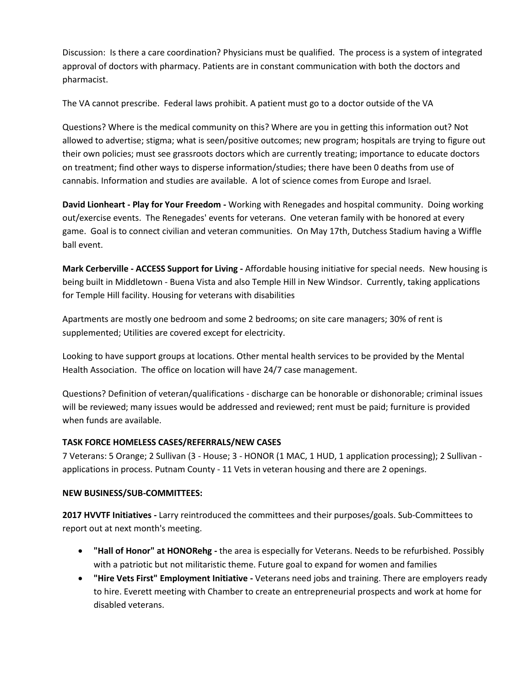Discussion: Is there a care coordination? Physicians must be qualified. The process is a system of integrated approval of doctors with pharmacy. Patients are in constant communication with both the doctors and pharmacist.

The VA cannot prescribe. Federal laws prohibit. A patient must go to a doctor outside of the VA

Questions? Where is the medical community on this? Where are you in getting this information out? Not allowed to advertise; stigma; what is seen/positive outcomes; new program; hospitals are trying to figure out their own policies; must see grassroots doctors which are currently treating; importance to educate doctors on treatment; find other ways to disperse information/studies; there have been 0 deaths from use of cannabis. Information and studies are available. A lot of science comes from Europe and Israel.

**David Lionheart - Play for Your Freedom -** Working with Renegades and hospital community. Doing working out/exercise events. The Renegades' events for veterans. One veteran family with be honored at every game. Goal is to connect civilian and veteran communities. On May 17th, Dutchess Stadium having a Wiffle ball event.

**Mark Cerberville - ACCESS Support for Living -** Affordable housing initiative for special needs. New housing is being built in Middletown - Buena Vista and also Temple Hill in New Windsor. Currently, taking applications for Temple Hill facility. Housing for veterans with disabilities

Apartments are mostly one bedroom and some 2 bedrooms; on site care managers; 30% of rent is supplemented; Utilities are covered except for electricity.

Looking to have support groups at locations. Other mental health services to be provided by the Mental Health Association. The office on location will have 24/7 case management.

Questions? Definition of veteran/qualifications - discharge can be honorable or dishonorable; criminal issues will be reviewed; many issues would be addressed and reviewed; rent must be paid; furniture is provided when funds are available.

## **TASK FORCE HOMELESS CASES/REFERRALS/NEW CASES**

7 Veterans: 5 Orange; 2 Sullivan (3 - House; 3 - HONOR (1 MAC, 1 HUD, 1 application processing); 2 Sullivan applications in process. Putnam County - 11 Vets in veteran housing and there are 2 openings.

### **NEW BUSINESS/SUB-COMMITTEES:**

**2017 HVVTF Initiatives -** Larry reintroduced the committees and their purposes/goals. Sub-Committees to report out at next month's meeting.

- **"Hall of Honor" at HONORehg -** the area is especially for Veterans. Needs to be refurbished. Possibly with a patriotic but not militaristic theme. Future goal to expand for women and families
- **"Hire Vets First" Employment Initiative -** Veterans need jobs and training. There are employers ready to hire. Everett meeting with Chamber to create an entrepreneurial prospects and work at home for disabled veterans.